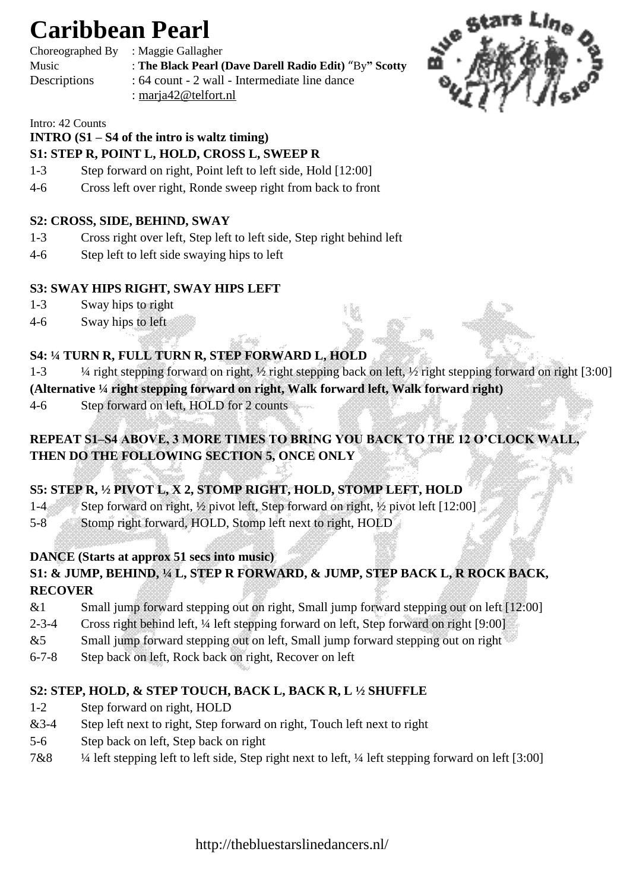# **Caribbean Pearl**

Choreographed By : Maggie Gallagher

- Music : **The Black Pearl (Dave Darell Radio Edit)** "By**" Scotty**
- Descriptions : 64 count 2 wall Intermediate line dance : marja42@telfort.nl



#### Intro: 42 Counts

## **INTRO (S1 – S4 of the intro is waltz timing)**

# **S1: STEP R, POINT L, HOLD, CROSS L, SWEEP R**

- 1-3 Step forward on right, Point left to left side, Hold [12:00]
- 4-6 Cross left over right, Ronde sweep right from back to front

### **S2: CROSS, SIDE, BEHIND, SWAY**

- 1-3 Cross right over left, Step left to left side, Step right behind left
- 4-6 Step left to left side swaying hips to left

### **S3: SWAY HIPS RIGHT, SWAY HIPS LEFT**

- 1-3 Sway hips to right
- 4-6 Sway hips to left

## **S4: ¼ TURN R, FULL TURN R, STEP FORWARD L, HOLD**

- 1-3 ¼ right stepping forward on right, ½ right stepping back on left, ½ right stepping forward on right [3:00]
- **(Alternative ¼ right stepping forward on right, Walk forward left, Walk forward right)**
- 4-6 Step forward on left, HOLD for 2 counts

# **REPEAT S1–S4 ABOVE, 3 MORE TIMES TO BRING YOU BACK TO THE 12 O'CLOCK WALL, THEN DO THE FOLLOWING SECTION 5, ONCE ONLY**

# **S5: STEP R, ½ PIVOT L, X 2, STOMP RIGHT, HOLD, STOMP LEFT, HOLD**

- 1-4 Step forward on right, ½ pivot left, Step forward on right, ½ pivot left [12:00]
- 5-8 Stomp right forward, HOLD, Stomp left next to right, HOLD

## **DANCE (Starts at approx 51 secs into music)**

### **S1: & JUMP, BEHIND, ¼ L, STEP R FORWARD, & JUMP, STEP BACK L, R ROCK BACK, RECOVER**

- &1 Small jump forward stepping out on right, Small jump forward stepping out on left [12:00]
- 2-3-4 Cross right behind left, ¼ left stepping forward on left, Step forward on right [9:00]
- $&5$  Small jump forward stepping out on left, Small jump forward stepping out on right
- 6-7-8 Step back on left, Rock back on right, Recover on left

## **S2: STEP, HOLD, & STEP TOUCH, BACK L, BACK R, L ½ SHUFFLE**

- 1-2 Step forward on right, HOLD
- &3-4 Step left next to right, Step forward on right, Touch left next to right
- 5-6 Step back on left, Step back on right
- 7&8 ¼ left stepping left to left side, Step right next to left, ¼ left stepping forward on left [3:00]